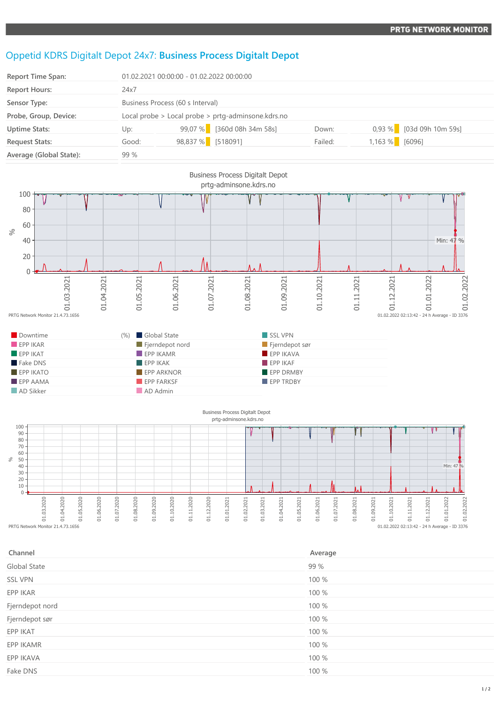## Oppetid KDRS Digitalt Depot 24x7: **Business Process Digitalt Depot**

| <b>Report Time Span:</b> | 01.02.2021 00:00:00 - 01.02.2022 00:00:00          |                   |                            |         |        |                          |
|--------------------------|----------------------------------------------------|-------------------|----------------------------|---------|--------|--------------------------|
| <b>Report Hours:</b>     | 24x7                                               |                   |                            |         |        |                          |
| Sensor Type:             | Business Process (60 s Interval)                   |                   |                            |         |        |                          |
| Probe, Group, Device:    | Local probe > Local probe > prtg-adminsone.kdrs.no |                   |                            |         |        |                          |
| <b>Uptime Stats:</b>     | Up:                                                |                   | 99,07 % [360d 08h 34m 58s] | Down:   |        | 0,93 % [03d 09h 10m 59s] |
| <b>Request Stats:</b>    | Good:                                              | 98,837 % [518091] |                            | Failed: | 1,163% | [6096]                   |
| Average (Global State):  | 99 %                                               |                   |                            |         |        |                          |





| Channel         | Average |
|-----------------|---------|
| Global State    | 99 %    |
| <b>SSL VPN</b>  | 100 %   |
| EPP IKAR        | 100 %   |
| Fjerndepot nord | 100 %   |
| Fjerndepot sør  | 100 %   |
| EPP IKAT        | 100 %   |
| EPP IKAMR       | 100 %   |
| EPP IKAVA       | 100 %   |
| Fake DNS        | 100 %   |
|                 |         |